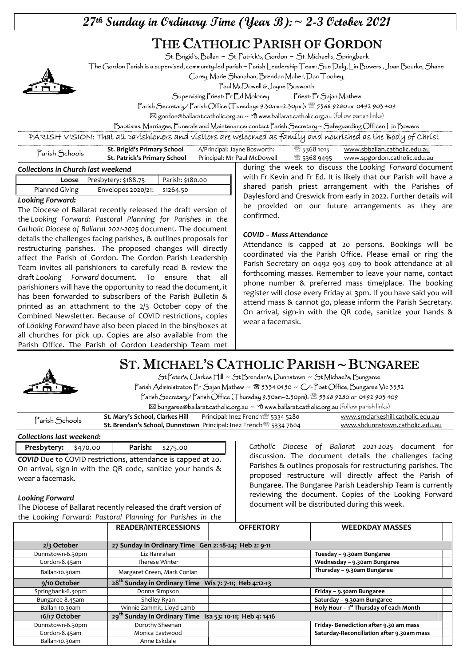$27$ <sup>th</sup> Sunday in Ordinary Time (Year B): ~ 2-3 October 2021

# THE CATHOLIC PARISH OF GORDON

St. Brigid's, Ballan ~ St. Patrick's, Gordon ~ St. Michael's, Springbank

The Gordon Parish is a supervised, community-led parish ~ Parish Leadership Team: Sue Daly, Lin Bowers , Joan Bourke, Shane

Carey, Marie Shanahan, Brendan Maher, Dan Toohey,

Paul McDowell & Jayne Bosworth

Supervising Priest: Fr Ed Moloney Priest: Fr Sajan Mathew

Parish Secretary/ Parish Office (Tuesdays 9.30am–2.30pm): 5368 9280 or 0492 903 409

 $\boxtimes$  gordon@ballarat.catholic.org.au ~  $\oplus$  www.ballarat.catholic.org.au (follow parish links)

Baptisms, Marriages, Funerals and Maintenance: contact Parish Secretary ~ Safeguarding Officer: Lin Bowers

PARISH VISION: That all parishioners and visitors are welcomed as family and nourished as the Body of Christ

| 'arísh Schools | St. Brigid's Primary School  | A/Principal: Jayne Bosworth: | <sup>2</sup> 5368 1015 | www.sbballan.catholic.edu.au |
|----------------|------------------------------|------------------------------|------------------------|------------------------------|
|                | St. Patrick's Primary School | Principal: Mr Paul McDowell  | শ্সী 5368 9495         | www.spgordon.catholic.edu.au |
|                |                              |                              |                        |                              |

#### Collections in Church last weekend

| <u>concertions in entirely not needed</u> |                                                      |  |  |  |
|-------------------------------------------|------------------------------------------------------|--|--|--|
|                                           | <b>Loose</b> Presbytery: \$188.75   Parish: \$180.00 |  |  |  |
| Planned Giving                            | Envelopes 2020/21: \$1264.50                         |  |  |  |

#### Looking Forward:

The Diocese of Ballarat recently released the draft version of the Looking Forward: Pastoral Planning for Parishes in the Catholic Diocese of Ballarat 2021-2025 document. The document details the challenges facing parishes, & outlines proposals for restructuring parishes. The proposed changes will directly affect the Parish of Gordon. The Gordon Parish Leadership Team invites all parishioners to carefully read & review the draft Looking Forward document. To ensure that all parishioners will have the opportunity to read the document, it has been forwarded to subscribers of the Parish Bulletin & printed as an attachment to the 2/3 October copy of the Combined Newsletter. Because of COVID restrictions, copies of Looking Forward have also been placed in the bins/boxes at all churches for pick up. Copies are also available from the Parish Office. The Parish of Gordon Leadership Team met

during the week to discuss the Looking Forward document with Fr Kevin and Fr Ed. It is likely that our Parish will have a shared parish priest arrangement with the Parishes of Daylesford and Creswick from early in 2022. Further details will be provided on our future arrangements as they are confirmed.

#### COVID – Mass Attendance

Attendance is capped at 20 persons. Bookings will be coordinated via the Parish Office. Please email or ring the Parish Secretary on 0492 903 409 to book attendance at all forthcoming masses. Remember to leave your name, contact phone number & preferred mass time/place. The booking register will close every Friday at 3pm. If you have said you will attend mass & cannot go, please inform the Parish Secretary. On arrival, sign-in with the QR code, sanitize your hands & wear a facemask.



# ST. MICHAEL'S CATHOLIC PARISH ~ BUNGAREE

St Peter's, Clarkes Hill ~ St Brendan's, Dunnstown ~ St Michael's, Bungaree Parish Administrator: Fr Sajan Mathew ~ <sup>8</sup> 5334 0450 ~ C/-Post Office, Bungaree Vic 3352

Parish Secretary/ Parish Office (Thursday 9.30am–2.30pm): 5368 9280 or 0492 903 409  $\boxtimes$  bungaree@ballarat.catholic.org.au  $\sim$  <sup>o</sup>f www.ballarat.catholic.org.au (follow parish links)

| <sup>2</sup> arish Schools | St. Mary's School, Clarkes Hill | Principal: Inez French <sup>3</sup> 5334 5280                                        | www.smclarkeshill.catholic.edu.au |
|----------------------------|---------------------------------|--------------------------------------------------------------------------------------|-----------------------------------|
|                            |                                 | <b>St. Brendan's School, Dunnstown</b> Principal: Inez French <sup>®</sup> 5334 7604 | www.sbdunnstown.catholic.edu.au   |
|                            |                                 |                                                                                      |                                   |

#### Collections last weekend:

Presbytery: \$470.00 | Parish: \$275.00 COVID Due to COVID restrictions, attendance is capped at 20. On arrival, sign-in with the QR code, sanitize your hands & wear a facemask.

#### Looking Forward

The Diocese of Ballarat recently released the draft version of the Looking Forward: Pastoral Planning for Parishes in the Catholic Diocese of Ballarat 2021-2025 document for discussion. The document details the challenges facing Parishes & outlines proposals for restructuring parishes. The proposed restructure will directly affect the Parish of Bungaree. The Bungaree Parish Leadership Team is currently reviewing the document. Copies of the Looking Forward document will be distributed during this week.

|                   | <b>READER/INTERCESSIONS</b>                                         | <b>OFFERTORY</b> | <b>WEEDKDAY MASSES</b>                     |  |
|-------------------|---------------------------------------------------------------------|------------------|--------------------------------------------|--|
|                   |                                                                     |                  |                                            |  |
| $2/3$ October     | 27 Sunday in Ordinary Time Gen 2: 18-24; Heb 2: 9-11                |                  |                                            |  |
| Dunnstown-6.30pm  | Liz Hanrahan                                                        |                  | Tuesday - 9.30am Bungaree                  |  |
| Gordon-8.45am     | Therese Winter                                                      |                  | Wednesday - 9.30am Bungaree                |  |
| Ballan-10.30am    | Margaret Green, Mark Conlan                                         |                  | Thursday - 9.30am Bungaree                 |  |
| 9/10 October      | 28 <sup>th</sup> Sunday in Ordinary Time Wis 7: 7-11; Heb 4:12-13   |                  |                                            |  |
| Springbank-6.30pm | Donna Simpson                                                       |                  | Friday - 9.30am Bungaree                   |  |
| Bungaree-8.45am   | Shelley Ryan                                                        |                  | Saturday - 9.30am Bungaree                 |  |
| Ballan-10.30am    | Winnie Zammit, Lloyd Lamb                                           |                  | Holy Hour $-1^{st}$ Thursday of each Month |  |
| 16/17 October     | 29 <sup>th</sup> Sunday in Ordinary Time Isa 53: 10-11; Heb 4: 1416 |                  |                                            |  |
| Dunnstown-6.30pm  | Dorothy Sheenan                                                     |                  | Friday-Benediction after 9.30 am mass      |  |
| Gordon-8.45am     | Monica Eastwood                                                     |                  | Saturday-Reconciliation after 9.30am mass  |  |
| Ballan-10.30am    | Anne Eskdale                                                        |                  |                                            |  |

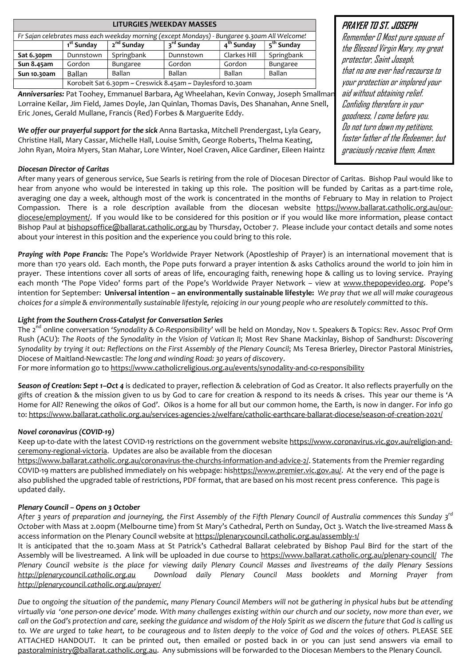| <b>LITURGIES / WEEKDAY MASSES</b>                                                             |                                                            |                        |                        |                        |                        |
|-----------------------------------------------------------------------------------------------|------------------------------------------------------------|------------------------|------------------------|------------------------|------------------------|
| Fr Sajan celebrates mass each weekday morning (except Mondays) - Bungaree 9.30am All Welcome! |                                                            |                        |                        |                        |                        |
|                                                                                               | 1 <sup>st</sup> Sunday                                     | 2 <sup>nd</sup> Sunday | 3 <sup>rd</sup> Sunday | 4 <sup>th</sup> Sunday | 5 <sup>th</sup> Sunday |
| Sat 6.30pm                                                                                    | Dunnstown                                                  | Springbank             | Dunnstown              | Clarkes Hill           | Springbank             |
| Sun 8.45am                                                                                    | Gordon                                                     | Bungaree               | Gordon                 | Gordon                 | Bungaree               |
| Sun 10.30am                                                                                   | <b>Ballan</b>                                              | <b>Ballan</b>          | <b>Ballan</b>          | <b>Ballan</b>          | Ballan                 |
|                                                                                               | Korobeit Sat 6.30pm ~ Creswick 8.45am ~ Daylesford 10.30am |                        |                        |                        |                        |

Anniversaries: Pat Toohey, Emmanuel Barbara, Ag Wheelahan, Kevin Conway, Joseph Smallmar Lorraine Keilar, Jim Field, James Doyle, Jan Quinlan, Thomas Davis, Des Shanahan, Anne Snell, Eric Jones, Gerald Mullane, Francis (Red) Forbes & Marguerite Eddy.

We offer our prayerful support for the sick Anna Bartaska, Mitchell Prendergast, Lyla Geary, Christine Hall, Mary Cassar, Michelle Hall, Louise Smith, George Roberts, Thelma Keating, John Ryan, Moira Myers, Stan Mahar, Lore Winter, Noel Craven, Alice Gardiner, Eileen Haintz

#### Diocesan Director of Caritas

After many years of generous service, Sue Searls is retiring from the role of Diocesan Director of Caritas. Bishop Paul would like to hear from anyone who would be interested in taking up this role. The position will be funded by Caritas as a part-time role, averaging one day a week, although most of the work is concentrated in the months of February to May in relation to Project Compassion. There is a role description available from the diocesan website https://www.ballarat.catholic.org.au/ourdiocese/employment/. If you would like to be considered for this position or if you would like more information, please contact Bishop Paul at bishopsoffice@ballarat.catholic.org.au by Thursday, October 7. Please include your contact details and some notes about your interest in this position and the experience you could bring to this role.

Praying with Pope Francis: The Pope's Worldwide Prayer Network (Apostleship of Prayer) is an international movement that is more than 170 years old. Each month, the Pope puts forward a prayer intention & asks Catholics around the world to join him in prayer. These intentions cover all sorts of areas of life, encouraging faith, renewing hope & calling us to loving service. Praying each month 'The Pope Video' forms part of the Pope's Worldwide Prayer Network – view at www.thepopevideo.org. Pope's intention for September: Universal intention – an environmentally sustainable lifestyle: We pray that we all will make courageous choices for a simple & environmentally sustainable lifestyle, rejoicing in our young people who are resolutely committed to this.

#### Light from the Southern Cross-Catalyst for Conversation Series

The 2<sup>nd</sup> online conversation 'Synodality & Co-Responsibility' will be held on Monday, Nov 1. Speakers & Topics: Rev. Assoc Prof Orm Rush (ACU): The Roots of the Synodality in the Vision of Vatican II; Most Rev Shane Mackinlay, Bishop of Sandhurst: Discovering Synodality by trying it out: Reflections on the First Assembly of the Plenary Council; Ms Teresa Brierley, Director Pastoral Ministries, Diocese of Maitland-Newcastle: The long and winding Road: 30 years of discovery.

For more information go to https://www.catholicreligious.org.au/events/synodality-and-co-responsibility

Season of Creation: Sept 1-Oct 4 is dedicated to prayer, reflection & celebration of God as Creator. It also reflects prayerfully on the gifts of creation & the mission given to us by God to care for creation & respond to its needs & crises. This year our theme is 'A Home for All? Renewing the oikos of God'. Oikos is a home for all but our common home, the Earth, is now in danger. For info go to: https://www.ballarat.catholic.org.au/services-agencies-2/welfare/catholic-earthcare-ballarat-diocese/season-of-creation-2021/

#### Novel coronavirus (COVID-19)

Keep up-to-date with the latest COVID-19 restrictions on the government website https://www.coronavirus.vic.gov.au/religion-andceremony-regional-victoria. Updates are also be available from the diocesan

https://www.ballarat.catholic.org.au/coronavirus-the-churchs-information-and-advice-2/. Statements from the Premier regarding COVID-19 matters are published immediately on his webpage: hishttps://www.premier.vic.gov.au/. At the very end of the page is also published the upgraded table of restrictions, PDF format, that are based on his most recent press conference. This page is updated daily.

#### Plenary Council – Opens on 3 October

After 3 years of preparation and journeying, the First Assembly of the Fifth Plenary Council of Australia commences this Sunday  $3^{rd}$ October with Mass at 2.00pm (Melbourne time) from St Mary's Cathedral, Perth on Sunday, Oct 3. Watch the live-streamed Mass & access information on the Plenary Council website at https://plenarycouncil.catholic.org.au/assembly-1/

It is anticipated that the 10.30am Mass at St Patrick's Cathedral Ballarat celebrated by Bishop Paul Bird for the start of the Assembly will be livestreamed. A link will be uploaded in due course to https://www.ballarat.catholic.org.au/plenary-council/ The Plenary Council website is the place for viewing daily Plenary Council Masses and livestreams of the daily Plenary Sessions http://plenarycouncil.catholic.org.au Download daily Plenary Council Mass booklets and Morning Prayer from http://plenarycouncil.catholic.org.au/prayer/

Due to ongoing the situation of the pandemic, many Plenary Council Members will not be gathering in physical hubs but be attending virtually via 'one person-one device' mode. With many challenges existing within our church and our society, now more than ever, we call on the God's protection and care, seeking the guidance and wisdom of the Holy Spirit as we discern the future that God is calling us to. We are urged to take heart, to be courageous and to listen deeply to the voice of God and the voices of others. PLEASE SEE ATTACHED HANDOUT. It can be printed out, then emailed or posted back in or you can just send answers via email to pastoralministry@ballarat.catholic.org.au. Any submissions will be forwarded to the Diocesan Members to the Plenary Council.

#### PRAYER TO ST. JOSEPH

Remember O Most pure spouse of the Blessed Virgin Mary, my great protector, Saint Joseph, that no one ever had recourse to your protection or implored your aid without obtaining relief. Confiding therefore in your goodness, I come before you. Do not turn down my petitions, foster father of the Redeemer, but graciously receive them, Amen.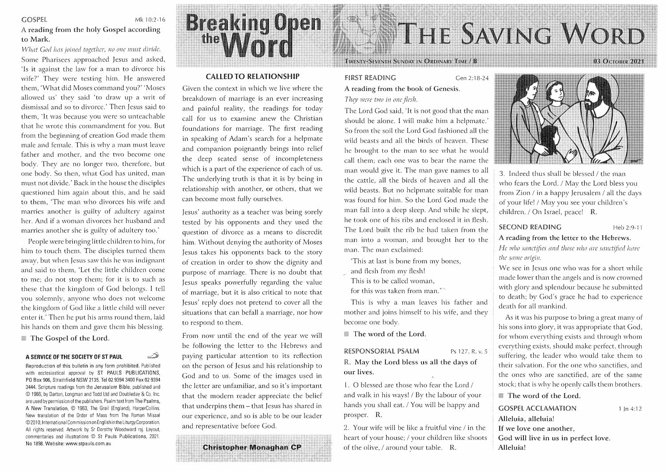#### **GOSPEL**

Mk 10:2-16

A reading from the holy Gospel according to Mark.

What God has joined together, no one must divide. Some Pharisees approached Jesus and asked, 'Is it against the law for a man to divorce his wife?' They were testing him. He answered them, 'What did Moses command you?' 'Moses allowed us' they said 'to draw up a writ of dismissal and so to divorce.' Then Jesus said to them, 'It was because you were so unteachable that he wrote this commandment for you. But from the beginning of creation God made them male and female. This is why a man must leave father and mother, and the two become one body. They are no longer two, therefore, but one body. So then, what God has united, man must not divide.' Back in the house the disciples questioned him again about this, and he said to them, 'The man who divorces his wife and marries another is guilty of adultery against her. And if a woman divorces her husband and marries another she is guilty of adultery too.'

People were bringing little children to him, for him to touch them. The disciples turned them away, but when Jesus saw this he was indignant and said to them, 'Let the little children come to me; do not stop them; for it is to such as these that the kingdom of God belongs. I tell you solemnly, anyone who does not welcome the kingdom of God like a little child will never enter it.' Then he put his arms round them, laid his hands on them and gave them his blessing.

The Gospel of the Lord.

#### A SERVICE OF THE SOCIETY OF ST PAUL

Reproduction of this bulletin in any form prohibited. Published with ecclesiastical approval by ST PAULS PUBLICATIONS, PO Box 906, Strathfield NSW 2135. Tel 02 9394 3400 Fax 02 9394 3444. Scripture readings from the Jerusalem Bible, published and © 1966, by Darton, Longman and Todd Ltd and Doubleday & Co. Inc. are used by permission of the publishers. Psalm text from The Psalms, A New Translation, © 1963, The Grail (England), HarperCollins. New translation of the Order of Mass from The Roman Missal © 2010, International Commission on English in the Liturgy Corporation. All rights reserved. Artwork by Sr Dorothy Woodward rsj. Layout, commentaries and illustrations © St Pauls Publications, 2021. No 1898. Website: www.stpauls.com.au

D

# **Breaking Open**<br>the March

#### **CALLED TO RELATIONSHIP**

Given the context in which we live where the breakdown of marriage is an ever increasing and painful reality, the readings for today call for us to examine anew the Christian foundations for marriage. The first reading in speaking of Adam's search for a helpmate and companion poignantly brings into relief the deep seated sense of incompleteness which is a part of the experience of each of us. The underlying truth is that it is by being in relationship with another, or others, that we can become most fully ourselves.

Jesus' authority as a teacher was being sorely tested by his opponents and they used the question of divorce as a means to discredit him. Without denying the authority of Moses Jesus takes his opponents back to the story of creation in order to show the dignity and purpose of marriage. There is no doubt that Jesus speaks powerfully regarding the value of marriage, but it is also critical to note that Jesus' reply does not pretend to cover all the situations that can befall a marriage, nor how to respond to them.

From now until the end of the year we will be following the letter to the Hebrews and paying particular attention to its reflection on the person of Jesus and his relationship to God and to us. Some of the images used in the letter are unfamiliar, and so it's important that the modern reader appreciate the belief that underpins them - that Jesus has shared in our experience, and so is able to be our leader and representative before God.

**Christopher Monaghan CP** 

# **TWENTY-SEVENTH SUNDAY IN ORDINARY TIME / B**

Gen 2:18-24

### A reading from the book of Genesis. They were two in one flesh.

**FIRST READING** 

The Lord God said, 'It is not good that the man should be alone. I will make him a helpmate.' So from the soil the Lord God fashioned all the wild beasts and all the birds of heaven. These he brought to the man to see what he would call them; each one was to bear the name the man would give it. The man gave names to all the cattle, all the birds of heaven and all the wild beasts. But no helpmate suitable for man was found for him. So the Lord God made the man fall into a deep sleep. And while he slept, he took one of his ribs and enclosed it in flesh. The Lord built the rib he had taken from the man into a woman, and brought her to the man. The man exclaimed:

This at last is bone from my bones,

and flesh from my flesh!

This is to be called woman, for this was taken from man."

This is why a man leaves his father and mother and joins himself to his wife, and they become one body.

The word of the Lord.

#### RESPONSORIAL PSALM

Ps 127, R. v. 5

R. May the Lord bless us all the days of our lives.

1. O blessed are those who fear the Lord / and walk in his ways! / By the labour of your hands you shall eat. / You will be happy and prosper. R.

2. Your wife will be like a fruitful vine / in the heart of your house; / your children like shoots of the olive, / around your table. R.



3. Indeed thus shall be blessed / the man who fears the Lord. / May the Lord bless you from Zion / in a happy Jerusalem / all the days of your life! / May you see your children's children. / On Israel, peace! R.

#### **SECOND READING**

Heb 2:9-11

A reading from the letter to the Hebrews. He who sanctifies and those who are sanctified have the same origin.

We see in Jesus one who was for a short while made lower than the angels and is now crowned with glory and splendour because he submitted to death; by God's grace he had to experience death for all mankind.

As it was his purpose to bring a great many of his sons into glory, it was appropriate that God, for whom everything exists and through whom everything exists, should make perfect, through suffering, the leader who would take them to their salvation. For the one who sanctifies, and the ones who are sanctified, are of the same stock; that is why he openly calls them brothers.

#### The word of the Lord.

**GOSPEL ACCLAMATION** Alleluia, alleluia! If we love one another, God will live in us in perfect love. Alleluia!

 $1 \ln 4:12$